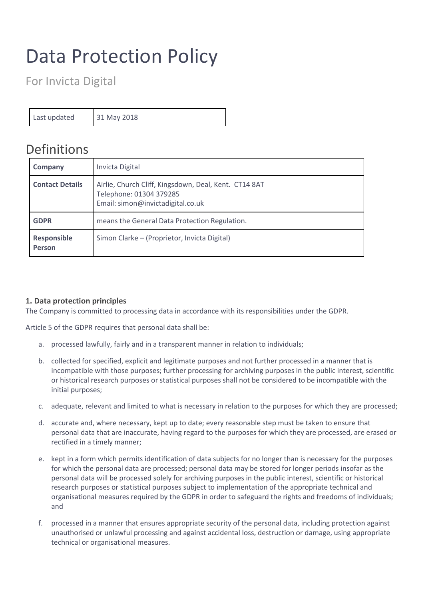# Data Protection Policy

For Invicta Digital

Last updated 31 May 2018

# Definitions

| Company                      | Invicta Digital                                                                                                       |
|------------------------------|-----------------------------------------------------------------------------------------------------------------------|
| <b>Contact Details</b>       | Airlie, Church Cliff, Kingsdown, Deal, Kent. CT14 8AT<br>Telephone: 01304 379285<br>Email: simon@invictadigital.co.uk |
| <b>GDPR</b>                  | means the General Data Protection Regulation.                                                                         |
| Responsible<br><b>Person</b> | Simon Clarke - (Proprietor, Invicta Digital)                                                                          |

# **1. Data protection principles**

The Company is committed to processing data in accordance with its responsibilities under the GDPR.

Article 5 of the GDPR requires that personal data shall be:

- a. processed lawfully, fairly and in a transparent manner in relation to individuals;
- b. collected for specified, explicit and legitimate purposes and not further processed in a manner that is incompatible with those purposes; further processing for archiving purposes in the public interest, scientific or historical research purposes or statistical purposes shall not be considered to be incompatible with the initial purposes;
- c. adequate, relevant and limited to what is necessary in relation to the purposes for which they are processed;
- d. accurate and, where necessary, kept up to date; every reasonable step must be taken to ensure that personal data that are inaccurate, having regard to the purposes for which they are processed, are erased or rectified in a timely manner;
- e. kept in a form which permits identification of data subjects for no longer than is necessary for the purposes for which the personal data are processed; personal data may be stored for longer periods insofar as the personal data will be processed solely for archiving purposes in the public interest, scientific or historical research purposes or statistical purposes subject to implementation of the appropriate technical and organisational measures required by the GDPR in order to safeguard the rights and freedoms of individuals; and
- f. processed in a manner that ensures appropriate security of the personal data, including protection against unauthorised or unlawful processing and against accidental loss, destruction or damage, using appropriate technical or organisational measures.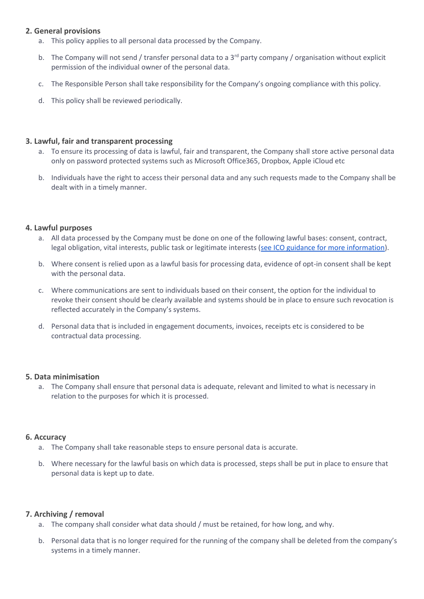# **2. General provisions**

- a. This policy applies to all personal data processed by the Company.
- b. The Company will not send / transfer personal data to a  $3^{rd}$  party company / organisation without explicit permission of the individual owner of the personal data.
- c. The Responsible Person shall take responsibility for the Company's ongoing compliance with this policy.
- d. This policy shall be reviewed periodically.

# **3. Lawful, fair and transparent processing**

- a. To ensure its processing of data is lawful, fair and transparent, the Company shall store active personal data only on password protected systems such as Microsoft Office365, Dropbox, Apple iCloud etc
- b. Individuals have the right to access their personal data and any such requests made to the Company shall be dealt with in a timely manner.

### **4. Lawful purposes**

- a. All data processed by the Company must be done on one of the following lawful bases: consent, contract, legal obligation, vital interests, public task or legitimate interests [\(see ICO guidance for more information\)](https://ico.org.uk/for-organisations/guide-to-the-general-data-protection-regulation-gdpr/lawful-basis-for-processing/).
- b. Where consent is relied upon as a lawful basis for processing data, evidence of opt-in consent shall be kept with the personal data.
- c. Where communications are sent to individuals based on their consent, the option for the individual to revoke their consent should be clearly available and systems should be in place to ensure such revocation is reflected accurately in the Company's systems.
- d. Personal data that is included in engagement documents, invoices, receipts etc is considered to be contractual data processing.

#### **5. Data minimisation**

a. The Company shall ensure that personal data is adequate, relevant and limited to what is necessary in relation to the purposes for which it is processed.

#### **6. Accuracy**

- a. The Company shall take reasonable steps to ensure personal data is accurate.
- b. Where necessary for the lawful basis on which data is processed, steps shall be put in place to ensure that personal data is kept up to date.

#### **7. Archiving / removal**

- a. The company shall consider what data should / must be retained, for how long, and why.
- b. Personal data that is no longer required for the running of the company shall be deleted from the company's systems in a timely manner.